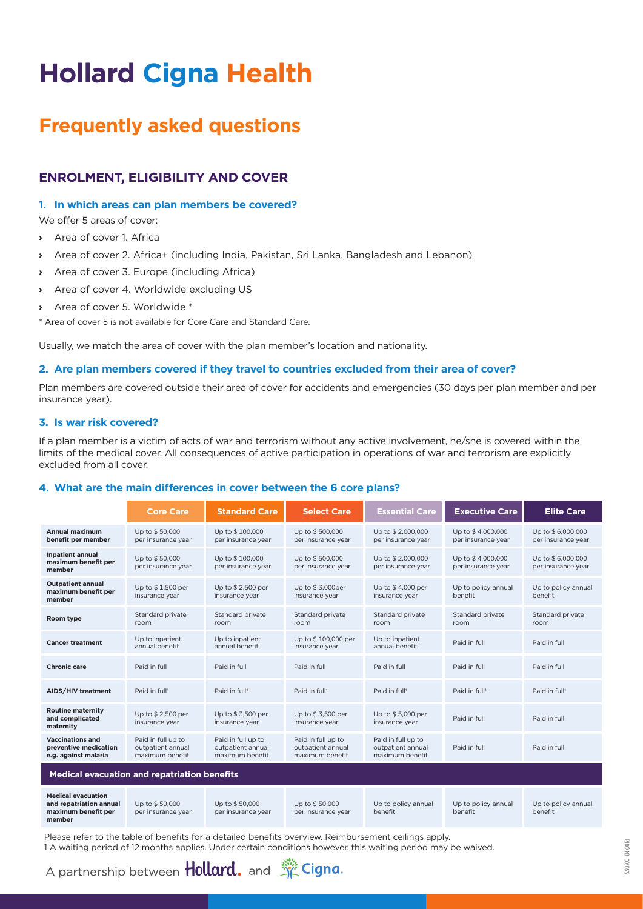# **Hollard Cigna Health**

## **Frequently asked questions**

## **Enrolment, eligibility AND COVER**

## **1. In which areas can plan members be covered?**

We offer 5 areas of cover:

- **›** Area of cover 1. Africa
- **›** Area of cover 2. Africa+ (including India, Pakistan, Sri Lanka, Bangladesh and Lebanon)
- **›** Area of cover 3. Europe (including Africa)
- **›** Area of cover 4. Worldwide excluding US
- **›** Area of cover 5. Worldwide \*

\* Area of cover 5 is not available for Core Care and Standard Care.

Usually, we match the area of cover with the plan member's location and nationality.

## **2. Are plan members covered if they travel to countries excluded from their area of cover?**

Plan members are covered outside their area of cover for accidents and emergencies (30 days per plan member and per insurance year).

## **3. Is war risk covered?**

If a plan member is a victim of acts of war and terrorism without any active involvement, he/she is covered within the limits of the medical cover. All consequences of active participation in operations of war and terrorism are explicitly excluded from all cover.

## **4. What are the main differences in cover between the 6 core plans?**

|                                                                                       | <b>Core Care</b>                                           | <b>Standard Care</b>                                       | <b>Select Care</b>                                         | <b>Essential Care</b>                                      | <b>Executive Care</b>                   | <b>Elite Care</b>                       |
|---------------------------------------------------------------------------------------|------------------------------------------------------------|------------------------------------------------------------|------------------------------------------------------------|------------------------------------------------------------|-----------------------------------------|-----------------------------------------|
| <b>Annual maximum</b><br>benefit per member                                           | Up to \$50,000<br>per insurance year                       | Up to \$100,000<br>per insurance year                      | Up to \$500,000<br>per insurance year                      | Up to \$2,000,000<br>per insurance year                    | Up to \$4,000,000<br>per insurance year | Up to \$6,000,000<br>per insurance year |
| <b>Inpatient annual</b><br>maximum benefit per<br>member                              | Up to \$50,000<br>per insurance year                       | Up to \$100,000<br>per insurance year                      | Up to \$500,000<br>per insurance year                      | Up to \$2,000,000<br>per insurance year                    | Up to \$4,000,000<br>per insurance year | Up to \$6,000,000<br>per insurance year |
| <b>Outpatient annual</b><br>maximum benefit per<br>member                             | Up to \$1,500 per<br>insurance year                        | Up to \$2,500 per<br>insurance year                        | Up to \$3,000per<br>insurance year                         | Up to \$4,000 per<br>insurance year                        | Up to policy annual<br>benefit          | Up to policy annual<br>benefit          |
| Room type                                                                             | Standard private<br>room                                   | Standard private<br>room                                   | Standard private<br>room                                   | Standard private<br>room                                   | Standard private<br>room                | Standard private<br>room                |
| <b>Cancer treatment</b>                                                               | Up to inpatient<br>annual benefit                          | Up to inpatient<br>annual benefit                          | Up to \$100,000 per<br>insurance year                      | Up to inpatient<br>annual benefit                          | Paid in full                            | Paid in full                            |
| <b>Chronic care</b>                                                                   | Paid in full                                               | Paid in full                                               | Paid in full                                               | Paid in full                                               | Paid in full                            | Paid in full                            |
| AIDS/HIV treatment                                                                    | Paid in full <sup>1</sup>                                  | Paid in full <sup>1</sup>                                  | Paid in full <sup>1</sup>                                  | Paid in full <sup>1</sup>                                  | Paid in full <sup>1</sup>               | Paid in full <sup>1</sup>               |
| <b>Routine maternity</b><br>and complicated<br>maternity                              | Up to \$2,500 per<br>insurance year                        | Up to \$3,500 per<br>insurance year                        | Up to \$3,500 per<br>insurance year                        | Up to \$5,000 per<br>insurance year                        | Paid in full                            | Paid in full                            |
| <b>Vaccinations and</b><br>preventive medication<br>e.g. against malaria              | Paid in full up to<br>outpatient annual<br>maximum benefit | Paid in full up to<br>outpatient annual<br>maximum benefit | Paid in full up to<br>outpatient annual<br>maximum benefit | Paid in full up to<br>outpatient annual<br>maximum benefit | Paid in full                            | Paid in full                            |
| <b>Medical evacuation and repatriation benefits</b>                                   |                                                            |                                                            |                                                            |                                                            |                                         |                                         |
| <b>Medical evacuation</b><br>and repatriation annual<br>maximum benefit per<br>member | Up to \$50,000<br>per insurance year                       | Up to \$50,000<br>per insurance year                       | Up to \$50,000<br>per insurance year                       | Up to policy annual<br>benefit                             | Up to policy annual<br>benefit          | Up to policy annual<br>benefit          |

Please refer to the table of benefits for a detailed benefits overview. Reimbursement ceilings apply. 1 A waiting period of 12 months applies. Under certain conditions however, this waiting period may be waived.

5.90.700\_EN (0817)

690.700 EN (0817)

A partnership between **Hollard.** and **K** Cigna.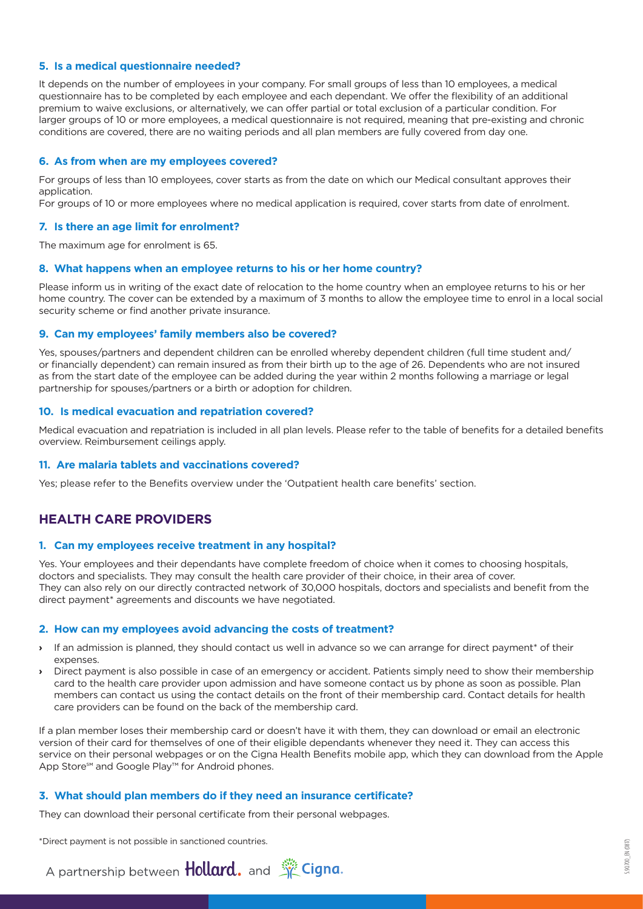## **5. Is a medical questionnaire needed?**

It depends on the number of employees in your company. For small groups of less than 10 employees, a medical questionnaire has to be completed by each employee and each dependant. We offer the flexibility of an additional premium to waive exclusions, or alternatively, we can offer partial or total exclusion of a particular condition. For larger groups of 10 or more employees, a medical questionnaire is not required, meaning that pre-existing and chronic conditions are covered, there are no waiting periods and all plan members are fully covered from day one.

## **6. As from when are my employees covered?**

For groups of less than 10 employees, cover starts as from the date on which our Medical consultant approves their application.

For groups of 10 or more employees where no medical application is required, cover starts from date of enrolment.

## **7. Is there an age limit for enrolment?**

The maximum age for enrolment is 65.

## **8. What happens when an employee returns to his or her home country?**

Please inform us in writing of the exact date of relocation to the home country when an employee returns to his or her home country. The cover can be extended by a maximum of 3 months to allow the employee time to enrol in a local social security scheme or find another private insurance.

## **9. Can my employees' family members also be covered?**

Yes, spouses/partners and dependent children can be enrolled whereby dependent children (full time student and/ or financially dependent) can remain insured as from their birth up to the age of 26. Dependents who are not insured as from the start date of the employee can be added during the year within 2 months following a marriage or legal partnership for spouses/partners or a birth or adoption for children.

## **10. Is medical evacuation and repatriation covered?**

Medical evacuation and repatriation is included in all plan levels. Please refer to the table of benefits for a detailed benefits overview. Reimbursement ceilings apply.

#### **11. Are malaria tablets and vaccinations covered?**

Yes; please refer to the Benefits overview under the 'Outpatient health care benefits' section.

## **Health care providers**

#### **1. Can my employees receive treatment in any hospital?**

Yes. Your employees and their dependants have complete freedom of choice when it comes to choosing hospitals, doctors and specialists. They may consult the health care provider of their choice, in their area of cover. They can also rely on our directly contracted network of 30,000 hospitals, doctors and specialists and benefit from the direct payment\* agreements and discounts we have negotiated.

#### **2. How can my employees avoid advancing the costs of treatment?**

- **›** If an admission is planned, they should contact us well in advance so we can arrange for direct payment\* of their expenses.
- **›** Direct payment is also possible in case of an emergency or accident. Patients simply need to show their membership card to the health care provider upon admission and have someone contact us by phone as soon as possible. Plan members can contact us using the contact details on the front of their membership card. Contact details for health care providers can be found on the back of the membership card.

If a plan member loses their membership card or doesn't have it with them, they can download or email an electronic version of their card for themselves of one of their eligible dependants whenever they need it. They can access this service on their personal webpages or on the Cigna Health Benefits mobile app, which they can download from the Apple App Store<sup>sM</sup> and Google Play<sup>™</sup> for Android phones.

## **3. What should plan members do if they need an insurance certificate?**

They can download their personal certificate from their personal webpages.

\*Direct payment is not possible in sanctioned countries.

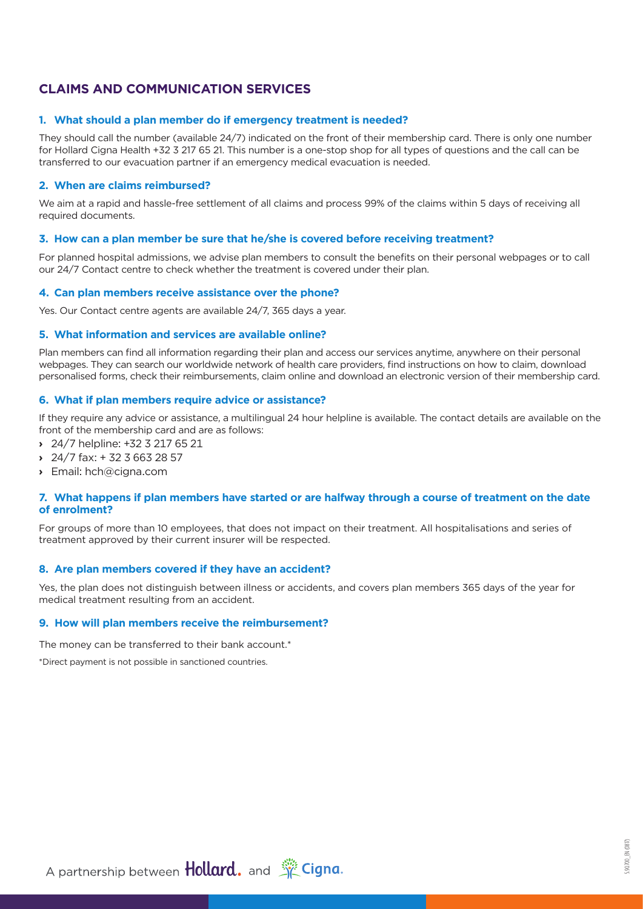## **Claims and communication services**

## **1. What should a plan member do if emergency treatment is needed?**

They should call the number (available 24/7) indicated on the front of their membership card. There is only one number for Hollard Cigna Health +32 3 217 65 21. This number is a one-stop shop for all types of questions and the call can be transferred to our evacuation partner if an emergency medical evacuation is needed.

## **2. When are claims reimbursed?**

We aim at a rapid and hassle-free settlement of all claims and process 99% of the claims within 5 days of receiving all required documents.

## **3. How can a plan member be sure that he/she is covered before receiving treatment?**

For planned hospital admissions, we advise plan members to consult the benefits on their personal webpages or to call our 24/7 Contact centre to check whether the treatment is covered under their plan.

## **4. Can plan members receive assistance over the phone?**

Yes. Our Contact centre agents are available 24/7, 365 days a year.

## **5. What information and services are available online?**

Plan members can find all information regarding their plan and access our services anytime, anywhere on their personal webpages. They can search our worldwide network of health care providers, find instructions on how to claim, download personalised forms, check their reimbursements, claim online and download an electronic version of their membership card.

## **6. What if plan members require advice or assistance?**

If they require any advice or assistance, a multilingual 24 hour helpline is available. The contact details are available on the front of the membership card and are as follows:

- **›** 24/7 helpline: +32 3 217 65 21
- **›** 24/7 fax: + 32 3 663 28 57
- **›** Email: hch@cigna.com

## **7. What happens if plan members have started or are halfway through a course of treatment on the date of enrolment?**

For groups of more than 10 employees, that does not impact on their treatment. All hospitalisations and series of treatment approved by their current insurer will be respected.

## **8. Are plan members covered if they have an accident?**

Yes, the plan does not distinguish between illness or accidents, and covers plan members 365 days of the year for medical treatment resulting from an accident.

## **9. How will plan members receive the reimbursement?**

The money can be transferred to their bank account.<sup>\*</sup>

\*Direct payment is not possible in sanctioned countries.